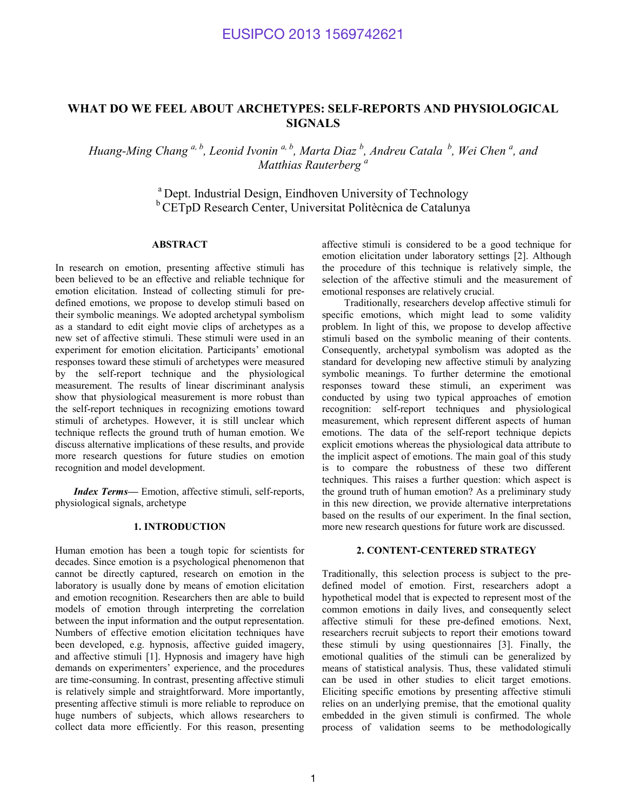# **WHAT DO WE FEEL ABOUT ARCHETYPES: SELF-REPORTS AND PHYSIOLOGICAL SIGNALS**

*Huang-Ming Chang*  $a, b$ , Leonid Ivonin  $a, b$ , Marta Diaz  $b$ , Andreu Catala  $b$ , Wei Chen  $a$ , and *Matthias Rauterberg a*

> <sup>a</sup> Dept. Industrial Design, Eindhoven University of Technology <sup>b</sup> CETpD Research Center, Universitat Politècnica de Catalunya

# **ABSTRACT**

In research on emotion, presenting affective stimuli has been believed to be an effective and reliable technique for emotion elicitation. Instead of collecting stimuli for predefined emotions, we propose to develop stimuli based on their symbolic meanings. We adopted archetypal symbolism as a standard to edit eight movie clips of archetypes as a new set of affective stimuli. These stimuli were used in an experiment for emotion elicitation. Participants' emotional responses toward these stimuli of archetypes were measured by the self-report technique and the physiological measurement. The results of linear discriminant analysis show that physiological measurement is more robust than the self-report techniques in recognizing emotions toward stimuli of archetypes. However, it is still unclear which technique reflects the ground truth of human emotion. We discuss alternative implications of these results, and provide more research questions for future studies on emotion recognition and model development.

*Index Terms—* Emotion, affective stimuli, self-reports, physiological signals, archetype

#### **1. INTRODUCTION**

Human emotion has been a tough topic for scientists for decades. Since emotion is a psychological phenomenon that cannot be directly captured, research on emotion in the laboratory is usually done by means of emotion elicitation and emotion recognition. Researchers then are able to build models of emotion through interpreting the correlation between the input information and the output representation. Numbers of effective emotion elicitation techniques have been developed, e.g. hypnosis, affective guided imagery, and affective stimuli [1]. Hypnosis and imagery have high demands on experimenters' experience, and the procedures are time-consuming. In contrast, presenting affective stimuli is relatively simple and straightforward. More importantly, presenting affective stimuli is more reliable to reproduce on huge numbers of subjects, which allows researchers to collect data more efficiently. For this reason, presenting

affective stimuli is considered to be a good technique for emotion elicitation under laboratory settings [2]. Although the procedure of this technique is relatively simple, the selection of the affective stimuli and the measurement of emotional responses are relatively crucial.

Traditionally, researchers develop affective stimuli for specific emotions, which might lead to some validity problem. In light of this, we propose to develop affective stimuli based on the symbolic meaning of their contents. Consequently, archetypal symbolism was adopted as the standard for developing new affective stimuli by analyzing symbolic meanings. To further determine the emotional responses toward these stimuli, an experiment was conducted by using two typical approaches of emotion recognition: self-report techniques and physiological measurement, which represent different aspects of human emotions. The data of the self-report technique depicts explicit emotions whereas the physiological data attribute to the implicit aspect of emotions. The main goal of this study is to compare the robustness of these two different techniques. This raises a further question: which aspect is the ground truth of human emotion? As a preliminary study in this new direction, we provide alternative interpretations based on the results of our experiment. In the final section, more new research questions for future work are discussed.

### **2. CONTENT-CENTERED STRATEGY**

Traditionally, this selection process is subject to the predefined model of emotion. First, researchers adopt a hypothetical model that is expected to represent most of the common emotions in daily lives, and consequently select affective stimuli for these pre-defined emotions. Next, researchers recruit subjects to report their emotions toward these stimuli by using questionnaires [3]. Finally, the emotional qualities of the stimuli can be generalized by means of statistical analysis. Thus, these validated stimuli can be used in other studies to elicit target emotions. Eliciting specific emotions by presenting affective stimuli relies on an underlying premise, that the emotional quality embedded in the given stimuli is confirmed. The whole process of validation seems to be methodologically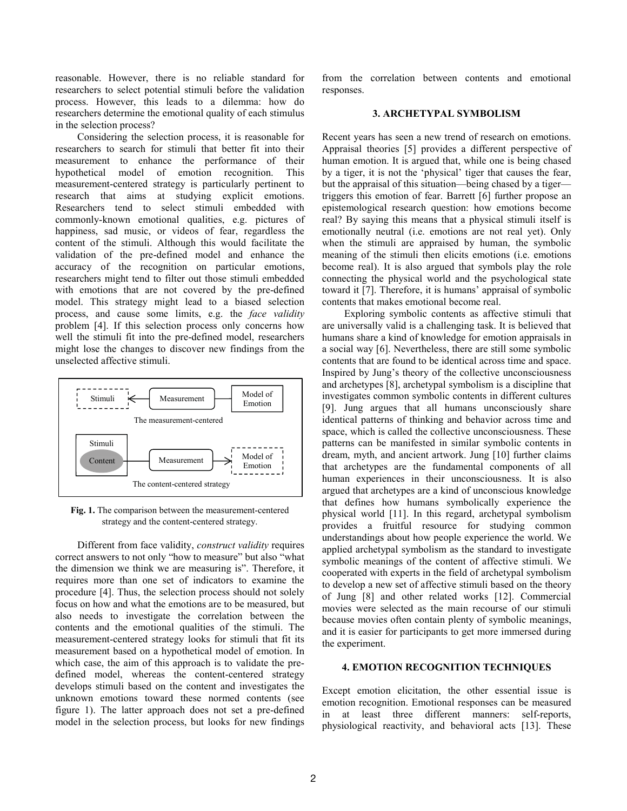reasonable. However, there is no reliable standard for researchers to select potential stimuli before the validation process. However, this leads to a dilemma: how do researchers determine the emotional quality of each stimulus in the selection process?

Considering the selection process, it is reasonable for researchers to search for stimuli that better fit into their measurement to enhance the performance of their hypothetical model of emotion recognition. This measurement-centered strategy is particularly pertinent to research that aims at studying explicit emotions. Researchers tend to select stimuli embedded with commonly-known emotional qualities, e.g. pictures of happiness, sad music, or videos of fear, regardless the content of the stimuli. Although this would facilitate the validation of the pre-defined model and enhance the accuracy of the recognition on particular emotions, researchers might tend to filter out those stimuli embedded with emotions that are not covered by the pre-defined model. This strategy might lead to a biased selection process, and cause some limits, e.g. the *face validity* problem [4]. If this selection process only concerns how well the stimuli fit into the pre-defined model, researchers might lose the changes to discover new findings from the unselected affective stimuli.



**Fig. 1.** The comparison between the measurement-centered strategy and the content-centered strategy.

Different from face validity, *construct validity* requires correct answers to not only "how to measure" but also "what the dimension we think we are measuring is". Therefore, it requires more than one set of indicators to examine the procedure [4]. Thus, the selection process should not solely focus on how and what the emotions are to be measured, but also needs to investigate the correlation between the contents and the emotional qualities of the stimuli. The measurement-centered strategy looks for stimuli that fit its measurement based on a hypothetical model of emotion. In which case, the aim of this approach is to validate the predefined model, whereas the content-centered strategy develops stimuli based on the content and investigates the unknown emotions toward these normed contents (see figure 1). The latter approach does not set a pre-defined model in the selection process, but looks for new findings

from the correlation between contents and emotional responses.

### **3. ARCHETYPAL SYMBOLISM**

Recent years has seen a new trend of research on emotions. Appraisal theories [5] provides a different perspective of human emotion. It is argued that, while one is being chased by a tiger, it is not the 'physical' tiger that causes the fear, but the appraisal of this situation—being chased by a tiger triggers this emotion of fear. Barrett [6] further propose an epistemological research question: how emotions become real? By saying this means that a physical stimuli itself is emotionally neutral (i.e. emotions are not real yet). Only when the stimuli are appraised by human, the symbolic meaning of the stimuli then elicits emotions (i.e. emotions become real). It is also argued that symbols play the role connecting the physical world and the psychological state toward it [7]. Therefore, it is humans' appraisal of symbolic contents that makes emotional become real.

Exploring symbolic contents as affective stimuli that are universally valid is a challenging task. It is believed that humans share a kind of knowledge for emotion appraisals in a social way [6]. Nevertheless, there are still some symbolic contents that are found to be identical across time and space. Inspired by Jung's theory of the collective unconsciousness and archetypes [8], archetypal symbolism is a discipline that investigates common symbolic contents in different cultures [9]. Jung argues that all humans unconsciously share identical patterns of thinking and behavior across time and space, which is called the collective unconsciousness. These patterns can be manifested in similar symbolic contents in dream, myth, and ancient artwork. Jung [10] further claims that archetypes are the fundamental components of all human experiences in their unconsciousness. It is also argued that archetypes are a kind of unconscious knowledge that defines how humans symbolically experience the physical world [11]. In this regard, archetypal symbolism provides a fruitful resource for studying common understandings about how people experience the world. We applied archetypal symbolism as the standard to investigate symbolic meanings of the content of affective stimuli. We cooperated with experts in the field of archetypal symbolism to develop a new set of affective stimuli based on the theory of Jung [8] and other related works [12]. Commercial movies were selected as the main recourse of our stimuli because movies often contain plenty of symbolic meanings, and it is easier for participants to get more immersed during the experiment.

#### **4. EMOTION RECOGNITION TECHNIQUES**

Except emotion elicitation, the other essential issue is emotion recognition. Emotional responses can be measured in at least three different manners: self-reports, physiological reactivity, and behavioral acts [13]. These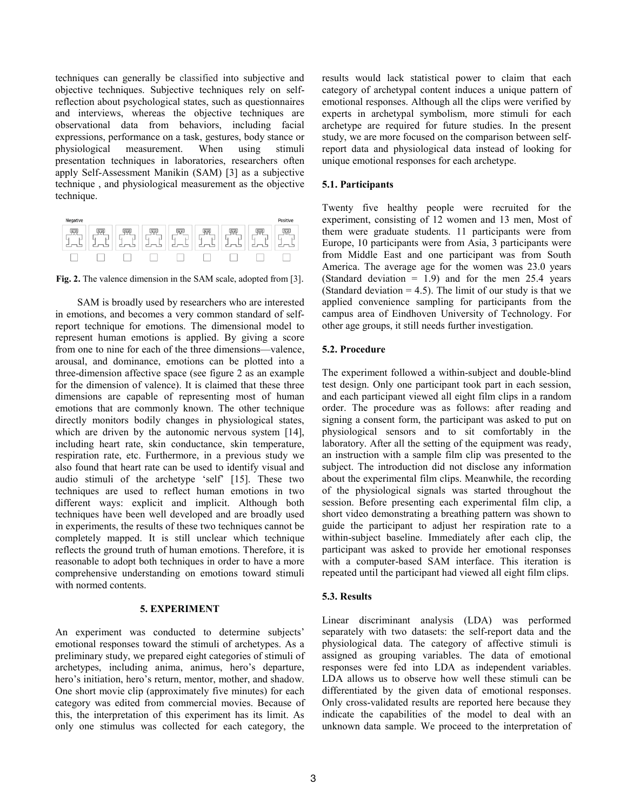techniques can generally be classified into subjective and objective techniques. Subjective techniques rely on selfreflection about psychological states, such as questionnaires and interviews, whereas the objective techniques are observational data from behaviors, including facial expressions, performance on a task, gestures, body stance or physiological measurement. When using stimuli presentation techniques in laboratories, researchers often apply Self-Assessment Manikin (SAM) [3] as a subjective technique , and physiological measurement as the objective technique.

| Negative              |           |                |                                     |        |             |             | Positiv                        |
|-----------------------|-----------|----------------|-------------------------------------|--------|-------------|-------------|--------------------------------|
| u<br>$\sim$<br>$\sim$ | یشوا<br>υ | $\overline{1}$ | क्रम<br>$\sim$<br><b>Send</b><br>ــ | υ<br>◡ | $\sim$<br>- | υ<br>$\sim$ | 45<br><b>South of</b><br><br>- |
|                       |           |                |                                     |        |             |             |                                |

Fig. 2. The valence dimension in the SAM scale, adopted from [3].

SAM is broadly used by researchers who are interested in emotions, and becomes a very common standard of selfreport technique for emotions. The dimensional model to represent human emotions is applied. By giving a score from one to nine for each of the three dimensions—valence, arousal, and dominance, emotions can be plotted into a three-dimension affective space (see figure 2 as an example for the dimension of valence). It is claimed that these three dimensions are capable of representing most of human emotions that are commonly known. The other technique directly monitors bodily changes in physiological states, which are driven by the autonomic nervous system [14], including heart rate, skin conductance, skin temperature, respiration rate, etc. Furthermore, in a previous study we also found that heart rate can be used to identify visual and audio stimuli of the archetype 'self' [15]. These two techniques are used to reflect human emotions in two different ways: explicit and implicit. Although both techniques have been well developed and are broadly used in experiments, the results of these two techniques cannot be completely mapped. It is still unclear which technique reflects the ground truth of human emotions. Therefore, it is reasonable to adopt both techniques in order to have a more comprehensive understanding on emotions toward stimuli with normed contents.

# **5. EXPERIMENT**

An experiment was conducted to determine subjects' emotional responses toward the stimuli of archetypes. As a preliminary study, we prepared eight categories of stimuli of archetypes, including anima, animus, hero's departure, hero's initiation, hero's return, mentor, mother, and shadow. One short movie clip (approximately five minutes) for each category was edited from commercial movies. Because of this, the interpretation of this experiment has its limit. As only one stimulus was collected for each category, the

results would lack statistical power to claim that each category of archetypal content induces a unique pattern of emotional responses. Although all the clips were verified by experts in archetypal symbolism, more stimuli for each archetype are required for future studies. In the present study, we are more focused on the comparison between selfreport data and physiological data instead of looking for unique emotional responses for each archetype.

### **5.1. Participants**

Twenty five healthy people were recruited for the experiment, consisting of 12 women and 13 men, Most of them were graduate students. 11 participants were from Europe, 10 participants were from Asia, 3 participants were from Middle East and one participant was from South America. The average age for the women was 23.0 years (Standard deviation  $= 1.9$ ) and for the men 25.4 years (Standard deviation  $= 4.5$ ). The limit of our study is that we applied convenience sampling for participants from the campus area of Eindhoven University of Technology. For other age groups, it still needs further investigation.

# **5.2. Procedure**

The experiment followed a within-subject and double-blind test design. Only one participant took part in each session, and each participant viewed all eight film clips in a random order. The procedure was as follows: after reading and signing a consent form, the participant was asked to put on physiological sensors and to sit comfortably in the laboratory. After all the setting of the equipment was ready, an instruction with a sample film clip was presented to the subject. The introduction did not disclose any information about the experimental film clips. Meanwhile, the recording of the physiological signals was started throughout the session. Before presenting each experimental film clip, a short video demonstrating a breathing pattern was shown to guide the participant to adjust her respiration rate to a within-subject baseline. Immediately after each clip, the participant was asked to provide her emotional responses with a computer-based SAM interface. This iteration is repeated until the participant had viewed all eight film clips.

### **5.3. Results**

Linear discriminant analysis (LDA) was performed separately with two datasets: the self-report data and the physiological data. The category of affective stimuli is assigned as grouping variables. The data of emotional responses were fed into LDA as independent variables. LDA allows us to observe how well these stimuli can be differentiated by the given data of emotional responses. Only cross-validated results are reported here because they indicate the capabilities of the model to deal with an unknown data sample. We proceed to the interpretation of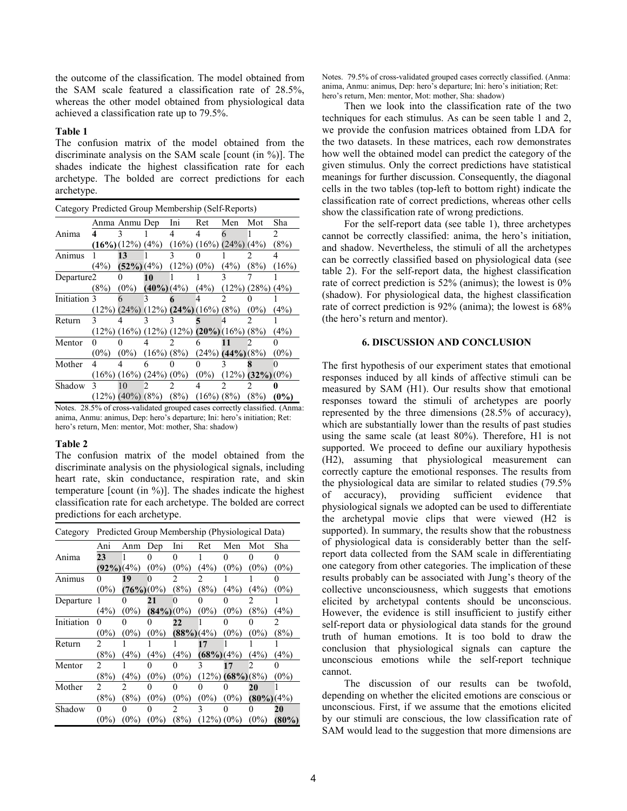the outcome of the classification. The model obtained from the SAM scale featured a classification rate of 28.5%, whereas the other model obtained from physiological data achieved a classification rate up to 79.5%.

### **Table 1**

The confusion matrix of the model obtained from the discriminate analysis on the SAM scale [count (in %)]. The shades indicate the highest classification rate for each archetype. The bolded are correct predictions for each archetype.

| Category Predicted Group Membership (Self-Reports) |                                                              |                              |                |                |                                                   |                       |                     |         |  |
|----------------------------------------------------|--------------------------------------------------------------|------------------------------|----------------|----------------|---------------------------------------------------|-----------------------|---------------------|---------|--|
|                                                    | Anma Anmu Dep                                                |                              |                | Ini            | Ret                                               | Men                   | Mot                 | Sha     |  |
| Anima                                              | 4                                                            |                              |                | Δ              | Δ                                                 | 6                     |                     |         |  |
|                                                    |                                                              | $(16\%)$ $(12\%)$ $(4\%)$    |                |                | $(16\%) (16\%) (24\%)$                            |                       | (4%)                | (8%)    |  |
| Animus                                             |                                                              | 13                           |                |                |                                                   |                       |                     |         |  |
|                                                    | (4%)                                                         | $(52\%) (4\%)$               |                | $(12\%) (0\%)$ |                                                   | (4%)                  | (8%)                | (16%)   |  |
| Departure2                                         |                                                              |                              | 10             |                |                                                   |                       |                     |         |  |
|                                                    | (8%)                                                         | $(0\%)$                      | $(40\%) (4\%)$ |                | (4%)                                              | $(12\%) (28\%)$       |                     | (4%)    |  |
| Initiation 3                                       |                                                              |                              |                |                |                                                   |                       |                     |         |  |
|                                                    |                                                              |                              |                |                | $(12\%) (24\%) (12\%) (24\%) (16\%) (8\%)$        |                       | $(0\%)$             | (4%)    |  |
| Return                                             | 3                                                            |                              |                |                |                                                   |                       |                     |         |  |
|                                                    |                                                              |                              |                |                | $(12\%) (16\%) (12\%) (12\%) (20\%) (16\%) (8\%)$ |                       |                     | (4%)    |  |
| Mentor                                             |                                                              |                              |                | 2              | 6                                                 |                       |                     |         |  |
|                                                    | $(0\%)$                                                      | $(0\%)$                      | $(16\%) (8\%)$ |                |                                                   | $(24\%) (44\%) (8\%)$ |                     | $(0\%)$ |  |
| Mother                                             |                                                              |                              |                |                | 0                                                 |                       |                     |         |  |
|                                                    |                                                              | $(16\%) (16\%) (24\%) (0\%)$ |                |                | $(0\%)$                                           |                       | $(12\%)$ (32%) (0%) |         |  |
| Shadow                                             | 3                                                            | 10                           |                |                | 4                                                 |                       |                     |         |  |
| $N_{\alpha \pm \alpha \alpha}$                     | 20.50/ of gross validated grouned agent correctly algoritied | $(12\%) (40\%) (8\%)$        |                | (8%)           | $(16\%) (8\%)$                                    |                       | (8%)                | $(0\%)$ |  |

Notes. 28.5% of cross-validated grouped cases correctly classified. (Anma: anima, Anmu: animus, Dep: hero's departure; Ini: hero's initiation; Ret: hero's return, Men: mentor, Mot: mother, Sha: shadow)

### **Table 2**

The confusion matrix of the model obtained from the discriminate analysis on the physiological signals, including heart rate, skin conductance, respiration rate, and skin temperature [count (in %)]. The shades indicate the highest classification rate for each archetype. The bolded are correct predictions for each archetype.

| Predicted Group Membership (Physiological Data)<br>Category |               |              |                  |            |                |                |                  |          |
|-------------------------------------------------------------|---------------|--------------|------------------|------------|----------------|----------------|------------------|----------|
|                                                             | Ani           | Anm          | Dep              | Ini        | Ret            | Men            | Mot              | Sha      |
| Anima                                                       | 23            |              |                  |            |                |                |                  |          |
|                                                             | $(92\%)$ (4%) |              | $(0\%)$          | $(0\%)$    | (4%)           | $(0\%)$        | $(0\%)$          | $(0\%)$  |
| Animus                                                      |               | 19           |                  |            |                |                |                  |          |
|                                                             | $(0\%)$       | $(76%)$ (0%) |                  | (8%)       | (8%)           | (4%)           | (4%)             | $(0\%)$  |
| Departure                                                   |               |              | 21               |            |                |                |                  |          |
|                                                             | (4%)          | $(0\%)$      | $(84\%)$ $(0\%)$ |            | $(0\%)$        | $(0\%)$        | (8%)             | (4%)     |
| Initiation                                                  |               |              |                  | 22         |                |                |                  |          |
|                                                             | $(0\%)$       | $(0\%)$      | $(0\%)$          | (88%) (4%) |                | $(0\%)$        | $(0\%)$          | (8%)     |
| Return                                                      |               |              |                  |            | 17             |                |                  |          |
|                                                             | (8%)          | (4%)         | (4%)             | (4%)       | $(68%)$ $(4%)$ |                | (4%)             | (4%)     |
| Mentor                                                      |               |              |                  |            | 3              | 17             |                  |          |
|                                                             | (8%)          | (4%)         | $(0\%)$          | $(0\%)$    | (12%)          | $(68%)$ $(8%)$ |                  | $(0\%)$  |
| Mother                                                      | 2             | 2            |                  |            |                |                | 20               |          |
|                                                             | (8%)          | (8%)         | $(0\%)$          | $(0\%)$    | $(0\%)$        | $(0\%)$        | $(80\%)$ $(4\%)$ |          |
| Shadow                                                      | 0             |              |                  |            |                |                |                  | 20       |
|                                                             | $(0\%)$       | $(0\%)$      | $(0\%)$          | (8%)       | $(12\%) (0\%)$ |                | $(0\%)$          | $(80\%)$ |

Notes. 79.5% of cross-validated grouped cases correctly classified. (Anma: anima, Anmu: animus, Dep: hero's departure; Ini: hero's initiation; Ret: hero's return, Men: mentor, Mot: mother, Sha: shadow)

Then we look into the classification rate of the two techniques for each stimulus. As can be seen table 1 and 2, we provide the confusion matrices obtained from LDA for the two datasets. In these matrices, each row demonstrates how well the obtained model can predict the category of the given stimulus. Only the correct predictions have statistical meanings for further discussion. Consequently, the diagonal cells in the two tables (top-left to bottom right) indicate the classification rate of correct predictions, whereas other cells show the classification rate of wrong predictions.

For the self-report data (see table 1), three archetypes cannot be correctly classified: anima, the hero's initiation, and shadow. Nevertheless, the stimuli of all the archetypes can be correctly classified based on physiological data (see table 2). For the self-report data, the highest classification rate of correct prediction is 52% (animus); the lowest is 0% (shadow). For physiological data, the highest classification rate of correct prediction is 92% (anima); the lowest is 68% (the hero's return and mentor).

#### **6. DISCUSSION AND CONCLUSION**

The first hypothesis of our experiment states that emotional responses induced by all kinds of affective stimuli can be measured by SAM (H1). Our results show that emotional responses toward the stimuli of archetypes are poorly represented by the three dimensions (28.5% of accuracy), which are substantially lower than the results of past studies using the same scale (at least 80%). Therefore, H1 is not supported. We proceed to define our auxiliary hypothesis (H2), assuming that physiological measurement can correctly capture the emotional responses. The results from the physiological data are similar to related studies (79.5% of accuracy), providing sufficient evidence that physiological signals we adopted can be used to differentiate the archetypal movie clips that were viewed (H2 is supported). In summary, the results show that the robustness of physiological data is considerably better than the selfreport data collected from the SAM scale in differentiating one category from other categories. The implication of these results probably can be associated with Jung's theory of the collective unconsciousness, which suggests that emotions elicited by archetypal contents should be unconscious. However, the evidence is still insufficient to justify either self-report data or physiological data stands for the ground truth of human emotions. It is too bold to draw the conclusion that physiological signals can capture the unconscious emotions while the self-report technique cannot.

The discussion of our results can be twofold, depending on whether the elicited emotions are conscious or unconscious. First, if we assume that the emotions elicited by our stimuli are conscious, the low classification rate of SAM would lead to the suggestion that more dimensions are